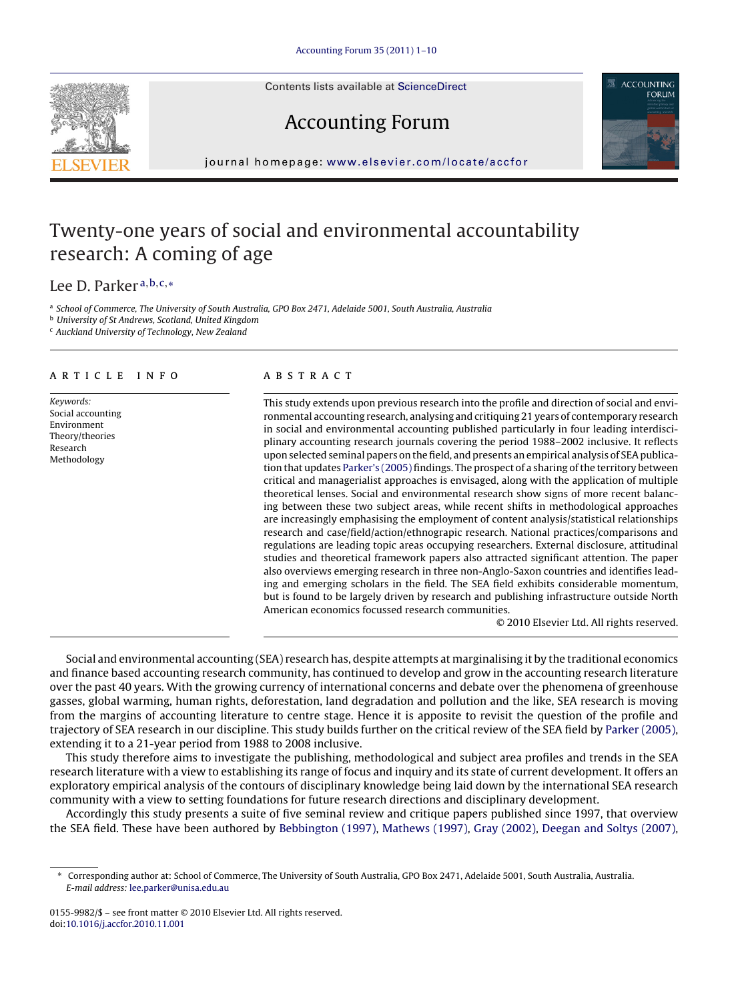Contents lists available at [ScienceDirect](http://www.sciencedirect.com/science/journal/01559982)





## Accounting Forum

journal homepage: [www.elsevier.com/locate/accfor](http://www.elsevier.com/locate/accfor)

### Twenty-one years of social and environmental accountability research: A coming of age

Lee D. Parker <sup>a</sup>,b,c,<sup>∗</sup>

a School of Commerce, The University of South Australia, GPO Box 2471, Adelaide 5001, South Australia, Australia

<sup>b</sup> University of St Andrews, Scotland, United Kingdom

<sup>c</sup> Auckland University of Technology, New Zealand

#### article info

Keywords: Social accounting Environment Theory/theories Research Methodology

#### ABSTRACT

This study extends upon previous research into the profile and direction of social and environmental accounting research, analysing and critiquing 21 years of contemporary research in social and environmental accounting published particularly in four leading interdisciplinary accounting research journals covering the period 1988–2002 inclusive. It reflects upon selected seminal papers on the field, and presents an empirical analysis of SEA publication that updates [Parker's \(2005\)](#page--1-0) findings. The prospect of a sharing of the territory between critical and managerialist approaches is envisaged, along with the application of multiple theoretical lenses. Social and environmental research show signs of more recent balancing between these two subject areas, while recent shifts in methodological approaches are increasingly emphasising the employment of content analysis/statistical relationships research and case/field/action/ethnograpic research. National practices/comparisons and regulations are leading topic areas occupying researchers. External disclosure, attitudinal studies and theoretical framework papers also attracted significant attention. The paper also overviews emerging research in three non-Anglo-Saxon countries and identifies leading and emerging scholars in the field. The SEA field exhibits considerable momentum, but is found to be largely driven by research and publishing infrastructure outside North American economics focussed research communities.

© 2010 Elsevier Ltd. All rights reserved.

Social and environmental accounting (SEA) research has, despite attempts at marginalising it by the traditional economics and finance based accounting research community, has continued to develop and grow in the accounting research literature over the past 40 years. With the growing currency of international concerns and debate over the phenomena of greenhouse gasses, global warming, human rights, deforestation, land degradation and pollution and the like, SEA research is moving from the margins of accounting literature to centre stage. Hence it is apposite to revisit the question of the profile and trajectory of SEA research in our discipline. This study builds further on the critical review of the SEA field by [Parker \(2005\),](#page--1-0) extending it to a 21-year period from 1988 to 2008 inclusive.

This study therefore aims to investigate the publishing, methodological and subject area profiles and trends in the SEA research literature with a view to establishing its range of focus and inquiry and its state of current development. It offers an exploratory empirical analysis of the contours of disciplinary knowledge being laid down by the international SEA research community with a view to setting foundations for future research directions and disciplinary development.

Accordingly this study presents a suite of five seminal review and critique papers published since 1997, that overview the SEA field. These have been authored by [Bebbington \(1997\),](#page--1-0) [Mathews \(1997\),](#page--1-0) [Gray \(2002\),](#page--1-0) [Deegan and Soltys \(2007\),](#page--1-0)

<sup>∗</sup> Corresponding author at: School of Commerce, The University of South Australia, GPO Box 2471, Adelaide 5001, South Australia, Australia. E-mail address: [lee.parker@unisa.edu.au](mailto:lee.parker@unisa.edu.au)

<sup>0155-9982/\$ –</sup> see front matter © 2010 Elsevier Ltd. All rights reserved. doi:[10.1016/j.accfor.2010.11.001](dx.doi.org/10.1016/j.accfor.2010.11.001)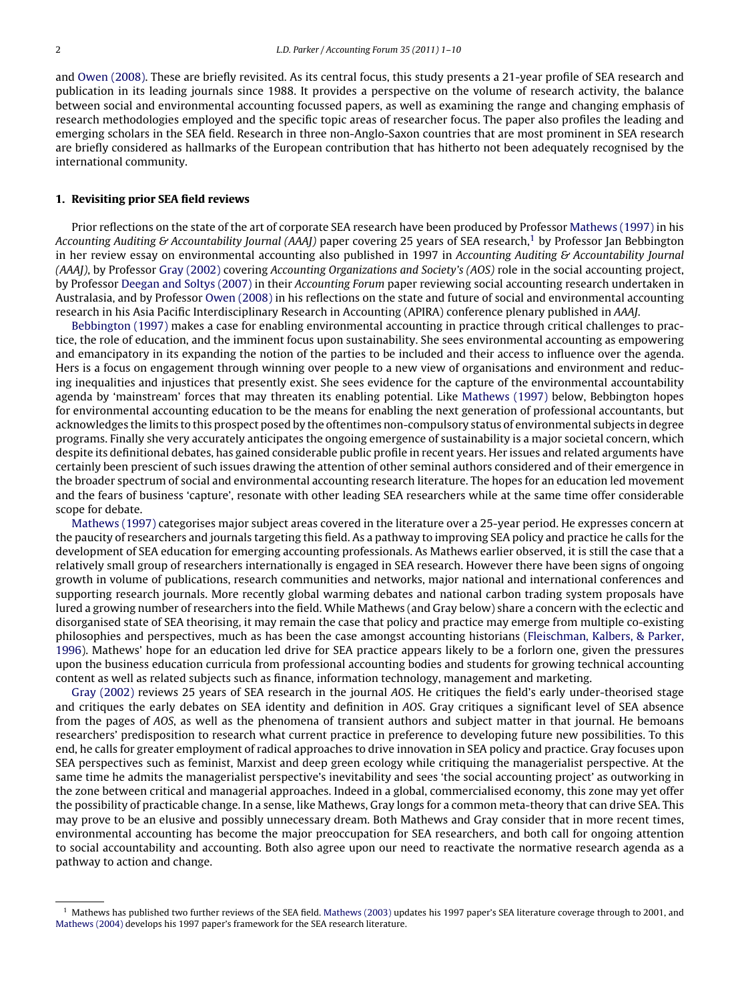and [Owen \(2008\). T](#page--1-0)hese are briefly revisited. As its central focus, this study presents a 21-year profile of SEA research and publication in its leading journals since 1988. It provides a perspective on the volume of research activity, the balance between social and environmental accounting focussed papers, as well as examining the range and changing emphasis of research methodologies employed and the specific topic areas of researcher focus. The paper also profiles the leading and emerging scholars in the SEA field. Research in three non-Anglo-Saxon countries that are most prominent in SEA research are briefly considered as hallmarks of the European contribution that has hitherto not been adequately recognised by the international community.

#### **1. Revisiting prior SEA field reviews**

Prior reflections on the state of the art of corporate SEA research have been produced by Professor [Mathews \(1997\)](#page--1-0) in his Accounting Auditing & Accountability Journal (AAAJ) paper covering 25 years of SEA research,<sup>1</sup> by Professor Jan Bebbington in her review essay on environmental accounting also published in 1997 in Accounting Auditing & Accountability Journal (AAAJ), by Professor [Gray \(2002\)](#page--1-0) covering Accounting Organizations and Society's (AOS) role in the social accounting project, by Professor [Deegan and Soltys \(2007\)](#page--1-0) in their Accounting Forum paper reviewing social accounting research undertaken in Australasia, and by Professor [Owen \(2008\)](#page--1-0) in his reflections on the state and future of social and environmental accounting research in his Asia Pacific Interdisciplinary Research in Accounting (APIRA) conference plenary published in AAAJ.

[Bebbington \(1997\)](#page--1-0) makes a case for enabling environmental accounting in practice through critical challenges to practice, the role of education, and the imminent focus upon sustainability. She sees environmental accounting as empowering and emancipatory in its expanding the notion of the parties to be included and their access to influence over the agenda. Hers is a focus on engagement through winning over people to a new view of organisations and environment and reducing inequalities and injustices that presently exist. She sees evidence for the capture of the environmental accountability agenda by 'mainstream' forces that may threaten its enabling potential. Like [Mathews \(1997\)](#page--1-0) below, Bebbington hopes for environmental accounting education to be the means for enabling the next generation of professional accountants, but acknowledges the limits to this prospect posed by the oftentimes non-compulsory status of environmental subjects in degree programs. Finally she very accurately anticipates the ongoing emergence of sustainability is a major societal concern, which despite its definitional debates, has gained considerable public profile in recent years. Her issues and related arguments have certainly been prescient of such issues drawing the attention of other seminal authors considered and of their emergence in the broader spectrum of social and environmental accounting research literature. The hopes for an education led movement and the fears of business 'capture', resonate with other leading SEA researchers while at the same time offer considerable scope for debate.

[Mathews \(1997\)](#page--1-0) categorises major subject areas covered in the literature over a 25-year period. He expresses concern at the paucity of researchers and journals targeting this field. As a pathway to improving SEA policy and practice he calls for the development of SEA education for emerging accounting professionals. As Mathews earlier observed, it is still the case that a relatively small group of researchers internationally is engaged in SEA research. However there have been signs of ongoing growth in volume of publications, research communities and networks, major national and international conferences and supporting research journals. More recently global warming debates and national carbon trading system proposals have lured a growing number of researchers into the field. While Mathews (and Gray below) share a concern with the eclectic and disorganised state of SEA theorising, it may remain the case that policy and practice may emerge from multiple co-existing philosophies and perspectives, much as has been the case amongst accounting historians ([Fleischman, Kalbers, & Parker,](#page--1-0) [1996\).](#page--1-0) Mathews' hope for an education led drive for SEA practice appears likely to be a forlorn one, given the pressures upon the business education curricula from professional accounting bodies and students for growing technical accounting content as well as related subjects such as finance, information technology, management and marketing.

[Gray \(2002\)](#page--1-0) reviews 25 years of SEA research in the journal AOS. He critiques the field's early under-theorised stage and critiques the early debates on SEA identity and definition in AOS. Gray critiques a significant level of SEA absence from the pages of AOS, as well as the phenomena of transient authors and subject matter in that journal. He bemoans researchers' predisposition to research what current practice in preference to developing future new possibilities. To this end, he calls for greater employment of radical approaches to drive innovation in SEA policy and practice. Gray focuses upon SEA perspectives such as feminist, Marxist and deep green ecology while critiquing the managerialist perspective. At the same time he admits the managerialist perspective's inevitability and sees 'the social accounting project' as outworking in the zone between critical and managerial approaches. Indeed in a global, commercialised economy, this zone may yet offer the possibility of practicable change. In a sense, like Mathews, Gray longs for a common meta-theory that can drive SEA. This may prove to be an elusive and possibly unnecessary dream. Both Mathews and Gray consider that in more recent times, environmental accounting has become the major preoccupation for SEA researchers, and both call for ongoing attention to social accountability and accounting. Both also agree upon our need to reactivate the normative research agenda as a pathway to action and change.

<sup>1</sup> Mathews has published two further reviews of the SEA field. [Mathews \(2003\)](#page--1-0) updates his 1997 paper's SEA literature coverage through to 2001, and [Mathews \(2004\)](#page--1-0) develops his 1997 paper's framework for the SEA research literature.